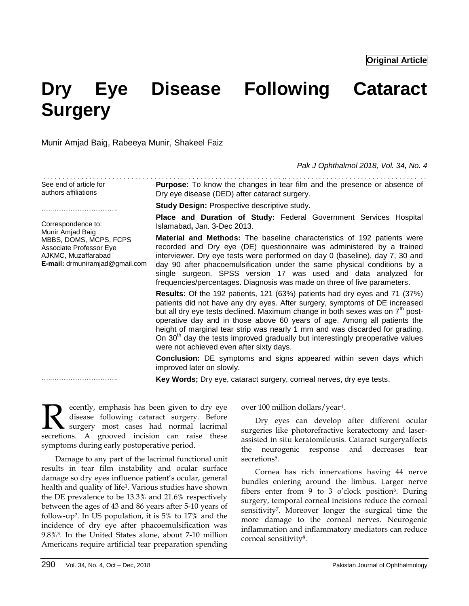**Original Article**

# **Dry Eye Disease Following Cataract Surgery**

Munir Amjad Baig, Rabeeya Munir, Shakeel Faiz

*Pak J Ophthalmol 2018, Vol. 34, No. 4*

| See end of article for<br>authors affiliations                                                                                                              | Purpose: To know the changes in tear film and the presence or absence of<br>Dry eye disease (DED) after cataract surgery.                                                                                                                                                                                                                                                                                                                                                                                                                                 |  |  |
|-------------------------------------------------------------------------------------------------------------------------------------------------------------|-----------------------------------------------------------------------------------------------------------------------------------------------------------------------------------------------------------------------------------------------------------------------------------------------------------------------------------------------------------------------------------------------------------------------------------------------------------------------------------------------------------------------------------------------------------|--|--|
|                                                                                                                                                             | <b>Study Design: Prospective descriptive study.</b>                                                                                                                                                                                                                                                                                                                                                                                                                                                                                                       |  |  |
| Correspondence to:<br>Munir Amjad Baig<br>MBBS, DOMS, MCPS, FCPS<br>Associate Professor Eye<br>AJKMC, Muzaffarabad<br><b>E-mail:</b> drmuniramjad@gmail.com | Place and Duration of Study: Federal Government Services Hospital<br>Islamabad, Jan. 3-Dec 2013.                                                                                                                                                                                                                                                                                                                                                                                                                                                          |  |  |
|                                                                                                                                                             | <b>Material and Methods:</b> The baseline characteristics of 192 patients were<br>recorded and Dry eye (DE) questionnaire was administered by a trained<br>interviewer. Dry eye tests were performed on day 0 (baseline), day 7, 30 and<br>day 90 after phacoemulsification under the same physical conditions by a<br>single surgeon. SPSS version 17 was used and data analyzed for<br>frequencies/percentages. Diagnosis was made on three of five parameters.                                                                                         |  |  |
|                                                                                                                                                             | <b>Results:</b> Of the 192 patients, 121 (63%) patients had dry eyes and 71 (37%)<br>patients did not have any dry eyes. After surgery, symptoms of DE increased<br>but all dry eye tests declined. Maximum change in both sexes was on $7th$ post-<br>operative day and in those above 60 years of age. Among all patients the<br>height of marginal tear strip was nearly 1 mm and was discarded for grading.<br>On 30 <sup>th</sup> day the tests improved gradually but interestingly preoperative values<br>were not achieved even after sixty days. |  |  |
|                                                                                                                                                             | Conclusion: DE symptoms and signs appeared within seven days which<br>improved later on slowly.                                                                                                                                                                                                                                                                                                                                                                                                                                                           |  |  |

**Key Words;** Dry eye, cataract surgery, corneal nerves, dry eye tests.

ecently, emphasis has been given to dry eye disease following cataract surgery. Before surgery most cases had normal lacrimal **R** ecently, emphasis has been given to dry eye disease following cataract surgery. Before surgery most cases had normal lacrimal secretions. A grooved incision can raise these symptoms during early postoperative period.

Damage to any part of the lacrimal functional unit results in tear film instability and ocular surface damage so dry eyes influence patient's ocular, general health and quality of life<sup>1</sup> . Various studies have shown the DE prevalence to be 13.3% and 21.6% respectively between the ages of 43 and 86 years after 5-10 years of follow-up<sup>2</sup> . In US population, it is 5% to 17% and the incidence of dry eye after phacoemulsification was 9.8%<sup>3</sup> . In the United States alone, about 7-10 million Americans require artificial tear preparation spending

over 100 million dollars/year<sup>4</sup> .

Dry eyes can develop after different ocular surgeries like photorefractive keratectomy and laserassisted in situ keratomileusis. Cataract surgeryaffects the neurogenic response and decreases tear secretions<sup>5</sup>.

Cornea has rich innervations having 44 nerve bundles entering around the limbus. Larger nerve fibers enter from 9 to 3 o'clock position<sup>6</sup>. During surgery, temporal corneal incisions reduce the corneal sensitivity<sup>7</sup> . Moreover longer the surgical time the more damage to the corneal nerves. Neurogenic inflammation and inflammatory mediators can reduce corneal sensitivity<sup>8</sup> .

………………………………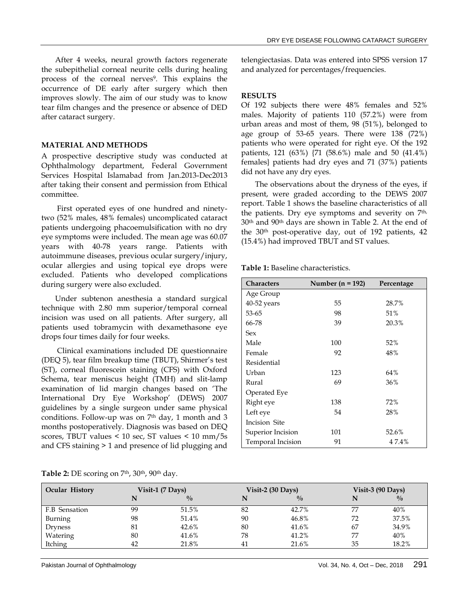After 4 weeks, neural growth factors regenerate the subepithelial corneal neurite cells during healing process of the corneal nerves<sup>9</sup>. This explains the occurrence of DE early after surgery which then improves slowly. The aim of our study was to know tear film changes and the presence or absence of DED after cataract surgery.

#### **MATERIAL AND METHODS**

A prospective descriptive study was conducted at Ophthalmology department, Federal Government Services Hospital Islamabad from Jan.2013-Dec2013 after taking their consent and permission from Ethical committee.

First operated eyes of one hundred and ninetytwo (52% males, 48% females) uncomplicated cataract patients undergoing phacoemulsification with no dry eye symptoms were included. The mean age was 60.07 years with 40-78 years range. Patients with autoimmune diseases, previous ocular surgery/injury, ocular allergies and using topical eye drops were excluded. Patients who developed complications during surgery were also excluded.

Under subtenon anesthesia a standard surgical technique with 2.80 mm superior/temporal corneal incision was used on all patients. After surgery, all patients used tobramycin with dexamethasone eye drops four times daily for four weeks.

Clinical examinations included DE questionnaire (DEQ 5), tear film breakup time (TBUT), Shirmer's test (ST), corneal fluorescein staining (CFS) with Oxford Schema, tear meniscus height (TMH) and slit-lamp examination of lid margin changes based on 'The International Dry Eye Workshop' (DEWS) 2007 guidelines by a single surgeon under same physical conditions. Follow-up was on  $7<sup>th</sup>$  day, 1 month and 3 months postoperatively. Diagnosis was based on DEQ scores, TBUT values < 10 sec, ST values < 10 mm/5s and CFS staining > 1 and presence of lid plugging and

telengiectasias. Data was entered into SPSS version 17 and analyzed for percentages/frequencies.

#### **RESULTS**

Of 192 subjects there were 48% females and 52% males. Majority of patients 110 (57.2%) were from urban areas and most of them, 98 (51%), belonged to age group of 53-65 years. There were 138 (72%) patients who were operated for right eye. Of the 192 patients, 121 (63%) {71 (58.6%) male and 50 (41.4%) females} patients had dry eyes and 71 (37%) patients did not have any dry eyes.

The observations about the dryness of the eyes, if present, were graded according to the DEWS 2007 report. Table 1 shows the baseline characteristics of all the patients. Dry eye symptoms and severity on 7<sup>th,</sup> 30th and 90th days are shown in Table 2. At the end of the 30th post-operative day, out of 192 patients, 42 (15.4%) had improved TBUT and ST values.

**Table 1:** Baseline characteristics.

| <b>Characters</b> | Number ( $n = 192$ ) | Percentage |
|-------------------|----------------------|------------|
| Age Group         |                      |            |
| 40-52 years       | 55                   | 28.7%      |
| 53-65             | 98                   | 51%        |
| 66-78             | 39                   | 20.3%      |
| Sex               |                      |            |
| Male              | 100                  | 52%        |
| Female            | 92                   | 48%        |
| Residential       |                      |            |
| Urban             | 123                  | 64%        |
| Rural             | 69                   | 36%        |
| Operated Eye      |                      |            |
| Right eye         | 138                  | 72%        |
| Left eye          | 54                   | 28%        |
| Incision Site     |                      |            |
| Superior Incision | 101                  | 52.6%      |
| Temporal Incision | 91                   | 47.4%      |

| <b>Ocular History</b> |    | Visit-1 (7 Days) |    | Visit-2 $(30 \text{ Days})$ |    | Visit-3 $(90$ Days) |
|-----------------------|----|------------------|----|-----------------------------|----|---------------------|
|                       |    | $\frac{0}{0}$    | N  | $^{0}/_{0}$                 |    | $\frac{0}{0}$       |
| F.B Sensation         | 99 | 51.5%            | 82 | 42.7%                       | 77 | 40%                 |
| Burning               | 98 | 51.4%            | 90 | 46.8%                       | 72 | 37.5%               |
| <b>Dryness</b>        | 81 | 42.6%            | 80 | 41.6%                       | 67 | 34.9%               |
| Watering              | 80 | 41.6%            | 78 | 41.2%                       | 77 | 40%                 |
| Itching               | 42 | 21.8%            | 41 | 21.6%                       | 35 | 18.2%               |

**Table 2:** DE scoring on 7th, 30th, 90th day.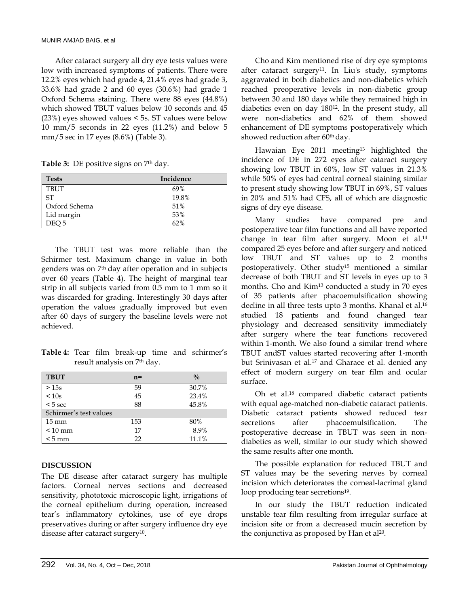After cataract surgery all dry eye tests values were low with increased symptoms of patients. There were 12.2% eyes which had grade 4, 21.4% eyes had grade 3, 33.6% had grade 2 and 60 eyes (30.6%) had grade 1 Oxford Schema staining. There were 88 eyes (44.8%) which showed TBUT values below 10 seconds and 45 (23%) eyes showed values < 5s. ST values were below 10 mm/5 seconds in 22 eyes (11.2%) and below 5 mm/5 sec in 17 eyes (8.6%) (Table 3).

**Table 3:** DE positive signs on 7th day.

| <b>Tests</b>  | Incidence |
|---------------|-----------|
| <b>TBUT</b>   | 69%       |
| <b>ST</b>     | 19.8%     |
| Oxford Schema | 51%       |
| Lid margin    | 53%       |
| DEO 5         | 62%       |

The TBUT test was more reliable than the Schirmer test. Maximum change in value in both genders was on 7th day after operation and in subjects over 60 years (Table 4). The height of marginal tear strip in all subjects varied from 0.5 mm to 1 mm so it was discarded for grading. Interestingly 30 days after operation the values gradually improved but even after 60 days of surgery the baseline levels were not achieved.

**Table 4:** Tear film break-up time and schirmer's result analysis on 7th day.

| <b>TBUT</b>            | $n =$ | $^{0}/_{0}$ |
|------------------------|-------|-------------|
| >15s                   | 59    | 30.7%       |
| < 10s                  | 45    | 23.4%       |
| $< 5$ sec              | 88    | 45.8%       |
| Schirmer's test values |       |             |
| $15 \text{ mm}$        | 153   | 80%         |
| $< 10$ mm              | 17    | 8.9%        |
| $< 5 \text{ mm}$       | 22    | 11.1%       |

## **DISCUSSION**

The DE disease after cataract surgery has multiple factors. Corneal nerves sections and decreased sensitivity, phototoxic microscopic light, irrigations of the corneal epithelium during operation, increased tear's inflammatory cytokines, use of eye drops preservatives during or after surgery influence dry eye disease after cataract surgery<sup>10</sup>.

Cho and Kim mentioned rise of dry eye symptoms after cataract surgery<sup>11</sup>. In Liu's study, symptoms aggravated in both diabetics and non-diabetics which reached preoperative levels in non-diabetic group between 30 and 180 days while they remained high in diabetics even on day 180<sup>12</sup> . In the present study, all were non-diabetics and 62% of them showed enhancement of DE symptoms postoperatively which showed reduction after 60<sup>th</sup> day.

Hawaian Eye 2011 meeting<sup>13</sup> highlighted the incidence of DE in 272 eyes after cataract surgery showing low TBUT in 60%, low ST values in 21.3% while 50% of eyes had central corneal staining similar to present study showing low TBUT in 69%, ST values in 20% and 51% had CFS, all of which are diagnostic signs of dry eye disease.

Many studies have compared pre and postoperative tear film functions and all have reported change in tear film after surgery. Moon et al.<sup>14</sup> compared 25 eyes before and after surgery and noticed low TBUT and ST values up to 2 months postoperatively. Other study<sup>15</sup> mentioned a similar decrease of both TBUT and ST levels in eyes up to 3 months. Cho and Kim<sup>13</sup> conducted a study in 70 eyes of 35 patients after phacoemulsification showing decline in all three tests upto 3 months. Khanal et al.<sup>16</sup> studied 18 patients and found changed tear physiology and decreased sensitivity immediately after surgery where the tear functions recovered within 1-month. We also found a similar trend where TBUT andST values started recovering after 1-month but Srinivasan et al.<sup>17</sup> and Gharaee et al. denied any effect of modern surgery on tear film and ocular surface.

Oh et al.<sup>18</sup> compared diabetic cataract patients with equal age-matched non-diabetic cataract patients. Diabetic cataract patients showed reduced tear secretions after phacoemulsification. The postoperative decrease in TBUT was seen in nondiabetics as well, similar to our study which showed the same results after one month.

The possible explanation for reduced TBUT and ST values may be the severing nerves by corneal incision which deteriorates the corneal-lacrimal gland loop producing tear secretions<sup>19</sup>.

In our study the TBUT reduction indicated unstable tear film resulting from irregular surface at incision site or from a decreased mucin secretion by the conjunctiva as proposed by Han et al<sup>20</sup>.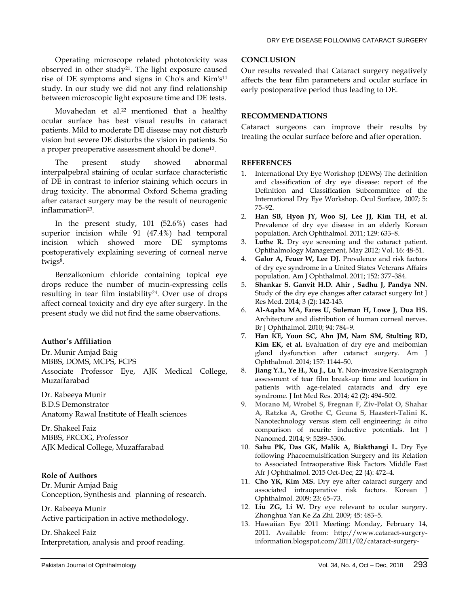Operating microscope related phototoxicity was observed in other study<sup>21</sup>. The light exposure caused rise of DE symptoms and signs in Cho's and Kim's<sup>11</sup> study. In our study we did not any find relationship between microscopic light exposure time and DE tests.

Movahedan et al.<sup>22</sup> mentioned that a healthy ocular surface has best visual results in cataract patients. Mild to moderate DE disease may not disturb vision but severe DE disturbs the vision in patients. So a proper preoperative assessment should be done<sup>10</sup> .

The present study showed abnormal interpalpebral staining of ocular surface characteristic of DE in contrast to inferior staining which occurs in drug toxicity. The abnormal Oxford Schema grading after cataract surgery may be the result of neurogenic inflammation<sup>23</sup> .

In the present study, 101 (52.6%) cases had superior incision while 91 (47.4%) had temporal incision which showed more DE symptoms postoperatively explaining severing of corneal nerve twigs<sup>8</sup>.

Benzalkonium chloride containing topical eye drops reduce the number of mucin-expressing cells resulting in tear film instability<sup>24</sup>. Over use of drops affect corneal toxicity and dry eye after surgery. In the present study we did not find the same observations.

# **Author's Affiliation**

Dr. Munir Amjad Baig

MBBS, DOMS, MCPS, FCPS

Associate Professor Eye, AJK Medical College, Muzaffarabad

Dr. Rabeeya Munir B.D.S Demonstrator Anatomy Rawal Institute of Healh sciences

Dr. Shakeel Faiz MBBS, FRCOG, Professor AJK Medical College, Muzaffarabad

# **Role of Authors**

Dr. Munir Amjad Baig Conception, Synthesis and planning of research.

Dr. Rabeeya Munir Active participation in active methodology.

Dr. Shakeel Faiz Interpretation, analysis and proof reading.

## **CONCLUSION**

Our results revealed that Cataract surgery negatively affects the tear film parameters and ocular surface in early postoperative period thus leading to DE.

# **RECOMMENDATIONS**

Cataract surgeons can improve their results by treating the ocular surface before and after operation.

## **REFERENCES**

- 1. International Dry Eye Workshop (DEWS) The definition and classification of dry eye disease: report of the Definition and Classification Subcommittee of the International Dry Eye Workshop. Ocul Surface, 2007; 5: 75–92.
- 2. **Han SB, Hyon JY, Woo SJ, Lee JJ, Kim TH, et al**. Prevalence of dry eye disease in an elderly Korean population. Arch Ophthalmol. 2011; 129: 633–8.
- 3. **Luthe R.** Dry eye screening and the cataract patient. Ophthalmology Management, May 2012; Vol. 16: 48-51.
- 4. **Galor A, Feuer W, Lee DJ.** Prevalence and risk factors of dry eye syndrome in a United States Veterans Affairs population. Am J Ophthalmol. 2011; 152: 377–384.
- 5. **Shankar S. Ganvit H.D. Ahir , Sadhu J, Pandya NN.** Study of the dry eye changes after cataract surgery Int J Res Med. 2014; 3 (2): 142-145.
- 6. **Al-Aqaba MA, Fares U, Suleman H, Lowe J, Dua HS.** Architecture and distribution of human corneal nerves. Br J Ophthalmol. 2010; 94: 784–9.
- 7. **Han KE, Yoon SC, Ahn JM, Nam SM, Stulting RD, Kim EK, et al.** Evaluation of dry eye and meibomian gland dysfunction after cataract surgery. Am J Ophthalmol. 2014; 157: 1144–50.
- 8. **Jiang Y.1., Ye H., Xu J., Lu Y.** Non-invasive Keratograph assessment of tear film break-up time and location in patients with age-related cataracts and dry eye syndrome. J Int Med Res. 2014; 42 (2): 494–502.
- 9. **Morano M, Wrobel S, Fregnan F, Ziv-Polat O, Shahar A, Ratzka A, Grothe C, Geuna S, Haastert-Talini K.** Nanotechnology versus stem cell engineering: *in vitro* comparison of neurite inductive potentials. Int J Nanomed. 2014; 9: 5289–5306.
- 10. **Sahu PK, Das GK, Malik A, Biakthangi L.** Dry Eye following Phacoemulsification Surgery and its Relation to Associated Intraoperative Risk Factors Middle East Afr J Ophthalmol. 2015 Oct-Dec; 22 (4): 472–4.
- 11. **Cho YK, Kim MS.** Dry eye after cataract surgery and associated intraoperative risk factors. Korean J Ophthalmol. 2009; 23: 65–73.
- 12. **Liu ZG, Li W.** Dry eye relevant to ocular surgery. Zhonghua Yan Ke Za Zhi. 2009; 45: 483–5.
- 13. Hawaiian Eye 2011 Meeting; Monday, February 14, 2011. Available from: [http://www.cataract-surgery](http://www.cataract-surgery-information.blogspot.com/2011/02/cataract-surgery-dry-eyes-what-you-need.html)[information.blogspot.com/2011/02/cataract-surgery-](http://www.cataract-surgery-information.blogspot.com/2011/02/cataract-surgery-dry-eyes-what-you-need.html)